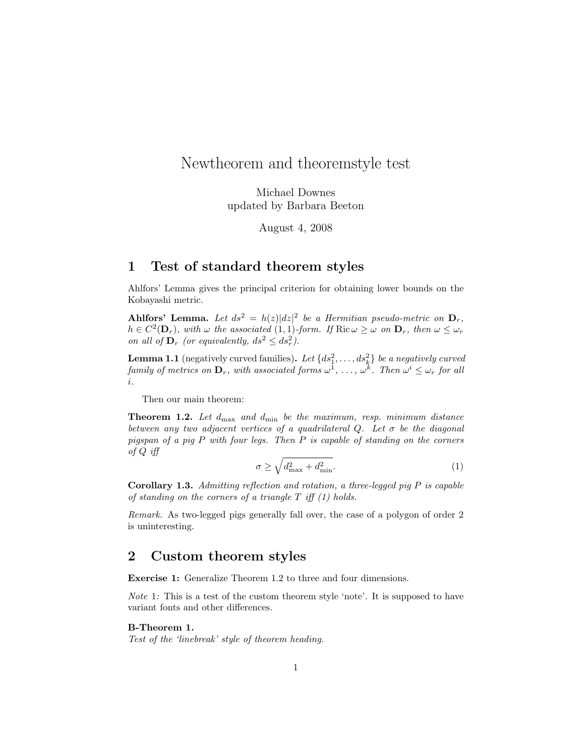# Newtheorem and theoremstyle test

Michael Downes updated by Barbara Beeton

August 4, 2008

### 1 Test of standard theorem styles

Ahlfors' Lemma gives the principal criterion for obtaining lower bounds on the Kobayashi metric.

Ahlfors' Lemma. Let  $ds^2 = h(z)|dz|^2$  be a Hermitian pseudo-metric on  $\mathbf{D}_r$ ,  $h \in C^2(\mathbf{D}_r)$ , with  $\omega$  the associated  $(1,1)$ -form. If  $\text{Ric }\omega \geq \omega$  on  $\mathbf{D}_r$ , then  $\omega \leq \omega_r$ on all of  $\mathbf{D}_r$  (or equivalently,  $ds^2 \leq ds_r^2$ ).

**Lemma 1.1** (negatively curved families). Let  $\{ds_1^2, \ldots, ds_k^2\}$  be a negatively curved family of metrics on  $\mathbf{D}_r$ , with associated forms  $\omega^1, \ldots, \omega^k$ . Then  $\omega^i \leq \omega_r$  for all i.

Then our main theorem:

**Theorem 1.2.** Let  $d_{\text{max}}$  and  $d_{\text{min}}$  be the maximum, resp. minimum distance between any two adjacent vertices of a quadrilateral  $Q$ . Let  $\sigma$  be the diagonal pigspan of a pig  $P$  with four legs. Then  $P$  is capable of standing on the corners of Q iff

$$
\sigma \ge \sqrt{d_{\text{max}}^2 + d_{\text{min}}^2}.\tag{1}
$$

**Corollary 1.3.** Admitting reflection and rotation, a three-legged pig  $P$  is capable of standing on the corners of a triangle  $T$  iff  $(1)$  holds.

Remark. As two-legged pigs generally fall over, the case of a polygon of order 2 is uninteresting.

### 2 Custom theorem styles

Exercise 1: Generalize Theorem 1.2 to three and four dimensions.

Note 1: This is a test of the custom theorem style 'note'. It is supposed to have variant fonts and other differences.

#### B-Theorem 1.

Test of the 'linebreak' style of theorem heading.